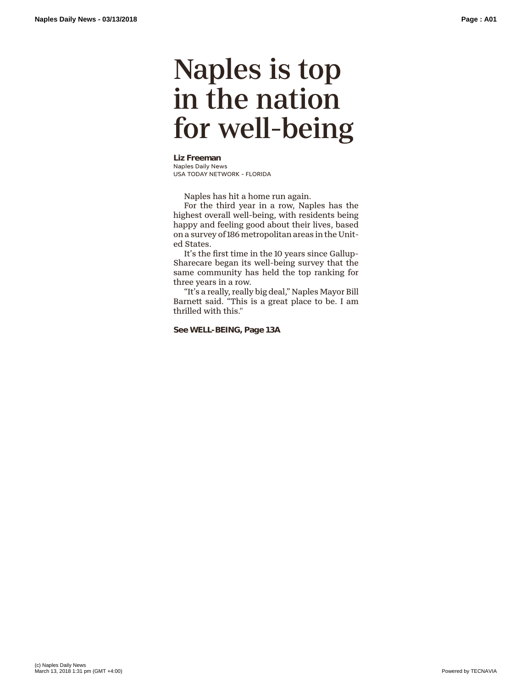## Naples is top in the nation for well-being

**Liz Freeman** Naples Daily News USA TODAY NETWORK - FLORIDA

Naples has hit a home run again.

For the third year in a row, Naples has the highest overall well-being, with residents being happy and feeling good about their lives, based on a survey of 186 metropolitan areas in the United States.

It's the first time in the 10 years since Gallup-Sharecare began its well-being survey that the same community has held the top ranking for three years in a row.

"It's a really, really big deal," Naples Mayor Bill Barnett said. "This is a great place to be. I am thrilled with this."

## **See WELL-BEING, Page 13A**